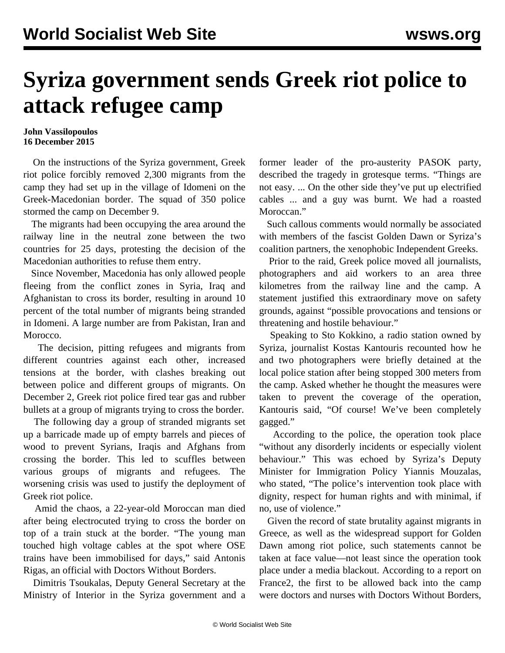## **Syriza government sends Greek riot police to attack refugee camp**

## **John Vassilopoulos 16 December 2015**

 On the instructions of the Syriza government, Greek riot police forcibly removed 2,300 migrants from the camp they had set up in the village of Idomeni on the Greek-Macedonian border. The squad of 350 police stormed the camp on December 9.

 The migrants had been occupying the area around the railway line in the neutral zone between the two countries for 25 days, protesting the decision of the Macedonian authorities to refuse them entry.

 Since November, Macedonia has only allowed people fleeing from the conflict zones in Syria, Iraq and Afghanistan to cross its border, resulting in around 10 percent of the total number of migrants being stranded in Idomeni. A large number are from Pakistan, Iran and Morocco.

 The decision, pitting refugees and migrants from different countries against each other, increased tensions at the border, with clashes breaking out between police and different groups of migrants. On December 2, Greek riot police fired tear gas and rubber bullets at a group of migrants trying to cross the border.

 The following day a group of stranded migrants set up a barricade made up of empty barrels and pieces of wood to prevent Syrians, Iraqis and Afghans from crossing the border. This led to scuffles between various groups of migrants and refugees. The worsening crisis was used to justify the deployment of Greek riot police.

 Amid the chaos, a 22-year-old Moroccan man died after being electrocuted trying to cross the border on top of a train stuck at the border. "The young man touched high voltage cables at the spot where OSE trains have been immobilised for days," said Antonis Rigas, an official with Doctors Without Borders.

 Dimitris Tsoukalas, Deputy General Secretary at the Ministry of Interior in the Syriza government and a former leader of the pro-austerity PASOK party, described the tragedy in grotesque terms. "Things are not easy. ... On the other side they've put up electrified cables ... and a guy was burnt. We had a roasted Moroccan."

 Such callous comments would normally be associated with members of the fascist Golden Dawn or Syriza's coalition partners, the xenophobic Independent Greeks.

 Prior to the raid, Greek police moved all journalists, photographers and aid workers to an area three kilometres from the railway line and the camp. A statement justified this extraordinary move on safety grounds, against "possible provocations and tensions or threatening and hostile behaviour."

 Speaking to Sto Kokkino, a radio station owned by Syriza, journalist Kostas Kantouris recounted how he and two photographers were briefly detained at the local police station after being stopped 300 meters from the camp. Asked whether he thought the measures were taken to prevent the coverage of the operation, Kantouris said, "Of course! We've been completely gagged."

 According to the police, the operation took place "without any disorderly incidents or especially violent behaviour." This was echoed by Syriza's Deputy Minister for Immigration Policy Yiannis Mouzalas, who stated, "The police's intervention took place with dignity, respect for human rights and with minimal, if no, use of violence."

 Given the record of state brutality against migrants in Greece, as well as the widespread support for Golden Dawn among riot police, such statements cannot be taken at face value—not least since the operation took place under a media blackout. According to a report on France2, the first to be allowed back into the camp were doctors and nurses with Doctors Without Borders,